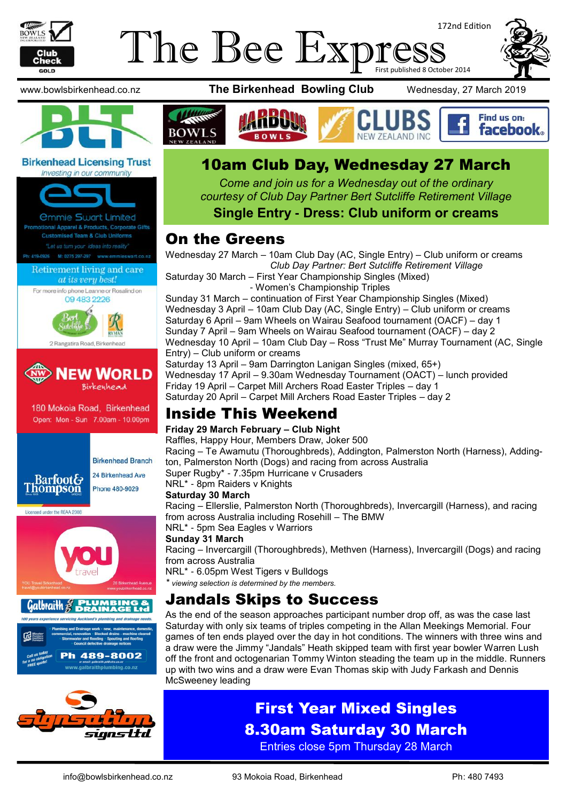

# 172nd Edition The Bee Express



**Birkenhead Licensing Trust** 





180 Mokoia Road, Birkenhead Open: Mon - Sun 7.00am - 10.00pm



**Birkenhead Branch** 24 Birkenhead Ave



Licensed under the REAA 2008







www.bowlsbirkenhead.co.nz **The Birkenhead Bowling Club** Wednesday, 27 March 2019



# 10am Club Day, Wednesday 27 March

*Come and join us for a Wednesday out of the ordinary courtesy of Club Day Partner Bert Sutcliffe Retirement Village* 

**Single Entry - Dress: Club uniform or creams**

# On the Greens

Wednesday 27 March – 10am Club Day (AC, Single Entry) – Club uniform or creams *Club Day Partner: Bert Sutcliffe Retirement Village* Saturday 30 March – First Year Championship Singles (Mixed)

- Women's Championship Triples

Sunday 31 March – continuation of First Year Championship Singles (Mixed) Wednesday 3 April – 10am Club Day (AC, Single Entry) – Club uniform or creams Saturday 6 April – 9am Wheels on Wairau Seafood tournament (OACF) – day 1 Sunday 7 April – 9am Wheels on Wairau Seafood tournament (OACF) – day 2 Wednesday 10 April – 10am Club Day – Ross "Trust Me" Murray Tournament (AC, Single Entry) – Club uniform or creams Saturday 13 April – 9am Darrington Lanigan Singles (mixed, 65+) Wednesday 17 April – 9.30am Wednesday Tournament (OACT) – lunch provided Friday 19 April – Carpet Mill Archers Road Easter Triples – day 1 Saturday 20 April – Carpet Mill Archers Road Easter Triples – day 2

# Inside This Weekend

#### **Friday 29 March February – Club Night**

Raffles, Happy Hour, Members Draw, Joker 500 Racing – Te Awamutu (Thoroughbreds), Addington, Palmerston North (Harness), Addington, Palmerston North (Dogs) and racing from across Australia Super Rugby\* - 7.35pm Hurricane v Crusaders

NRL\* - 8pm Raiders v Knights

#### **Saturday 30 March**

Racing – Ellerslie, Palmerston North (Thoroughbreds), Invercargill (Harness), and racing from across Australia including Rosehill – The BMW

NRL\* - 5pm Sea Eagles v Warriors

#### **Sunday 31 March**

Racing – Invercargill (Thoroughbreds), Methven (Harness), Invercargill (Dogs) and racing from across Australia

NRL\* - 6.05pm West Tigers v Bulldogs

*\* viewing selection is determined by the members.*

# Jandals Skips to Success

As the end of the season approaches participant number drop off, as was the case last Saturday with only six teams of triples competing in the Allan Meekings Memorial. Four games of ten ends played over the day in hot conditions. The winners with three wins and a draw were the Jimmy "Jandals" Heath skipped team with first year bowler Warren Lush off the front and octogenarian Tommy Winton steading the team up in the middle. Runners up with two wins and a draw were Evan Thomas skip with Judy Farkash and Dennis McSweeney leading

# First Year Mixed Singles 8.30am Saturday 30 March

Entries close 5pm Thursday 28 March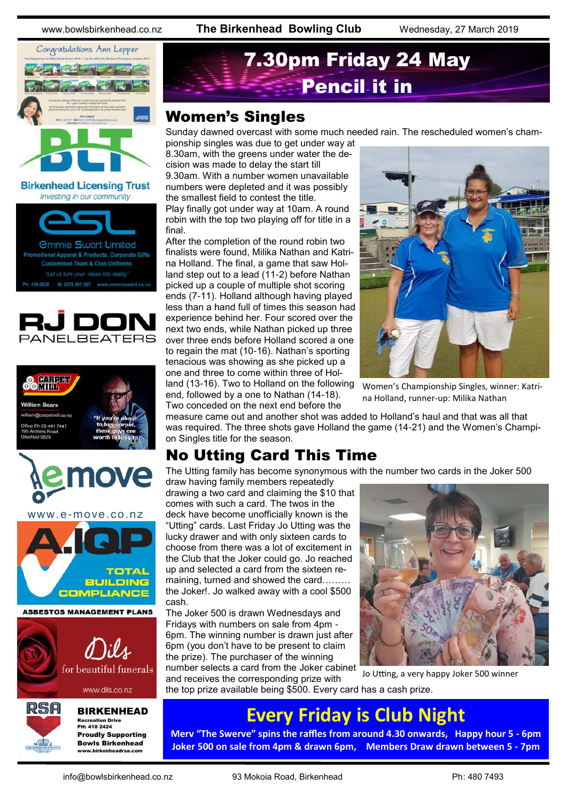www.bowlsbirkenhead.co.nz **The Birkenhead Bowling Club** Wednesday, 27 March 2019



**Birkenhead Licensing Trust** Investing in our community









BIRKENHEAD Recreation Drive PH: 418 2424 Proudly Supporting Bowls Birkenhead www.birkenheadrsa.com

# 7.30pm Friday 24 May Pencil it in

### Women's Singles

Sunday dawned overcast with some much needed rain. The rescheduled women's championship singles was due to get under way at

8.30am, with the greens under water the decision was made to delay the start till 9.30am. With a number women unavailable numbers were depleted and it was possibly the smallest field to contest the title.

Play finally got under way at 10am. A round robin with the top two playing off for title in a final.

After the completion of the round robin two finalists were found, Milika Nathan and Katrina Holland. The final, a game that saw Holland step out to a lead (11-2) before Nathan picked up a couple of multiple shot scoring ends (7-11). Holland although having played less than a hand full of times this season had experience behind her. Four scored over the next two ends, while Nathan picked up three over three ends before Holland scored a one to regain the mat (10-16). Nathan's sporting tenacious was showing as she picked up a one and three to come within three of Holland (13-16). Two to Holland on the following

end, followed by a one to Nathan (14-18). Two conceded on the next end before the



Women's Championship Singles, winner: Katrina Holland, runner-up: Milika Nathan

measure came out and another shot was added to Holland's haul and that was all that was required. The three shots gave Holland the game (14-21) and the Women's Champion Singles title for the season.

# No Utting Card This Time

The Utting family has become synonymous with the number two cards in the Joker 500

draw having family members repeatedly drawing a two card and claiming the \$10 that comes with such a card. The twos in the deck have become unofficially known is the "Utting" cards. Last Friday Jo Utting was the lucky drawer and with only sixteen cards to choose from there was a lot of excitement in the Club that the Joker could go. Jo reached up and selected a card from the sixteen remaining, turned and showed the card……… the Joker!. Jo walked away with a cool \$500 cash.

The Joker 500 is drawn Wednesdays and Fridays with numbers on sale from 4pm - 6pm. The winning number is drawn just after 6pm (you don't have to be present to claim the prize). The purchaser of the winning number selects a card from the Joker cabinet

and receives the corresponding prize with



Jo Utting, a very happy Joker 500 winner

the top prize available being \$500. Every card has a cash prize.

# **Every Friday is Club Night**

**Merv "The Swerve" spins the raffles from around 4.30 onwards, Happy hour 5 - 6pm Joker 500 on sale from 4pm & drawn 6pm, Members Draw drawn between 5 - 7pm**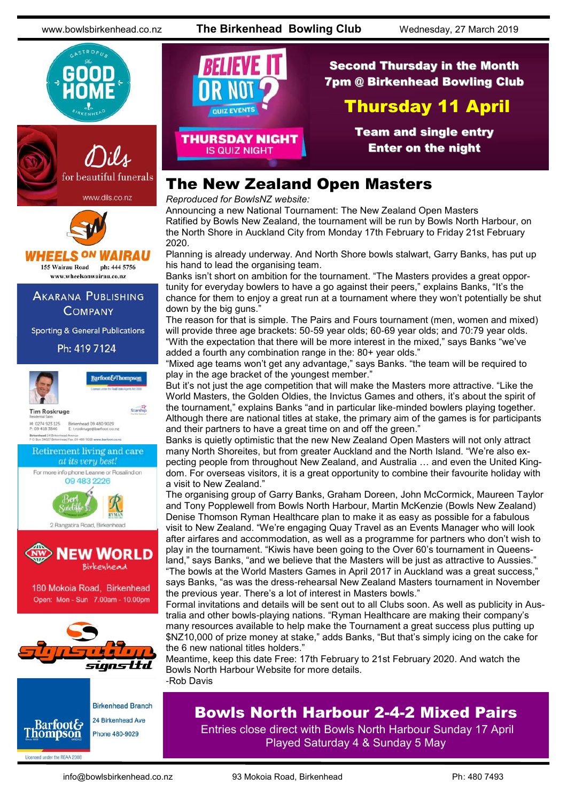www.bowlsbirkenhead.co.nz **The Birkenhead Bowling Club** Wednesday, 27 March 2019







# **IHEELS ON WAIRAU**

155 Wairau Road ph: 444 5756 www.wheelsonwairau.co.nz

**AKARANA PUBLISHING COMPANY** 

**Sporting & General Publications** 

Ph: 419 7124



**Barfoot&Thompson** Starship

**Tim Roskruge** M: 0274 923 125<br>P: 09 418 3846 Birkenhead 09 480 9029<br>E. t.roskruge@barfoot.co.nz

Birkenhead 24 Brite<br>P O Box 34027 Birke Avenue<br>Fax. 09 480 9018 www.ba





180 Mokoia Road, Birkenhead Open: Mon - Sun 7.00am - 10.00pm





Licensed under the REAA 2008

# QUIZ EVENTS **THURSDAY NIGHT**

Second Thursday in the Month 7pm @ Birkenhead Bowling Club

# Thursday 11 April

Team and single entry Enter on the night

# The New Zealand Open Masters

*Reproduced for BowlsNZ website:*

**IS QUIZ NIGHT** 

Announcing a new National Tournament: The New Zealand Open Masters Ratified by Bowls New Zealand, the tournament will be run by Bowls North Harbour, on the North Shore in Auckland City from Monday 17th February to Friday 21st February 2020.

Planning is already underway. And North Shore bowls stalwart, Garry Banks, has put up his hand to lead the organising team.

Banks isn't short on ambition for the tournament. "The Masters provides a great opportunity for everyday bowlers to have a go against their peers," explains Banks, "It's the chance for them to enjoy a great run at a tournament where they won't potentially be shut down by the big guns."

The reason for that is simple. The Pairs and Fours tournament (men, women and mixed) will provide three age brackets: 50-59 year olds; 60-69 year olds; and 70:79 year olds. "With the expectation that there will be more interest in the mixed," says Banks "we've added a fourth any combination range in the: 80+ year olds."

"Mixed age teams won't get any advantage," says Banks. "the team will be required to play in the age bracket of the youngest member."

But it's not just the age competition that will make the Masters more attractive. "Like the World Masters, the Golden Oldies, the Invictus Games and others, it's about the spirit of the tournament," explains Banks "and in particular like-minded bowlers playing together. Although there are national titles at stake, the primary aim of the games is for participants and their partners to have a great time on and off the green."

Banks is quietly optimistic that the new New Zealand Open Masters will not only attract many North Shoreites, but from greater Auckland and the North Island. "We're also expecting people from throughout New Zealand, and Australia … and even the United Kingdom. For overseas visitors, it is a great opportunity to combine their favourite holiday with a visit to New Zealand."

The organising group of Garry Banks, Graham Doreen, John McCormick, Maureen Taylor and Tony Popplewell from Bowls North Harbour, Martin McKenzie (Bowls New Zealand) Denise Thomson Ryman Healthcare plan to make it as easy as possible for a fabulous visit to New Zealand. "We're engaging Quay Travel as an Events Manager who will look after airfares and accommodation, as well as a programme for partners who don't wish to play in the tournament. "Kiwis have been going to the Over 60's tournament in Queensland," says Banks, "and we believe that the Masters will be just as attractive to Aussies."

"The bowls at the World Masters Games in April 2017 in Auckland was a great success," says Banks, "as was the dress-rehearsal New Zealand Masters tournament in November the previous year. There's a lot of interest in Masters bowls."

Formal invitations and details will be sent out to all Clubs soon. As well as publicity in Australia and other bowls-playing nations. "Ryman Healthcare are making their company's many resources available to help make the Tournament a great success plus putting up \$NZ10,000 of prize money at stake," adds Banks, "But that's simply icing on the cake for the 6 new national titles holders."

Meantime, keep this date Free: 17th February to 21st February 2020. And watch the Bowls North Harbour Website for more details. -Rob Davis

# Bowls North Harbour 2-4-2 Mixed Pairs

Entries close direct with Bowls North Harbour Sunday 17 April Played Saturday 4 & Sunday 5 May